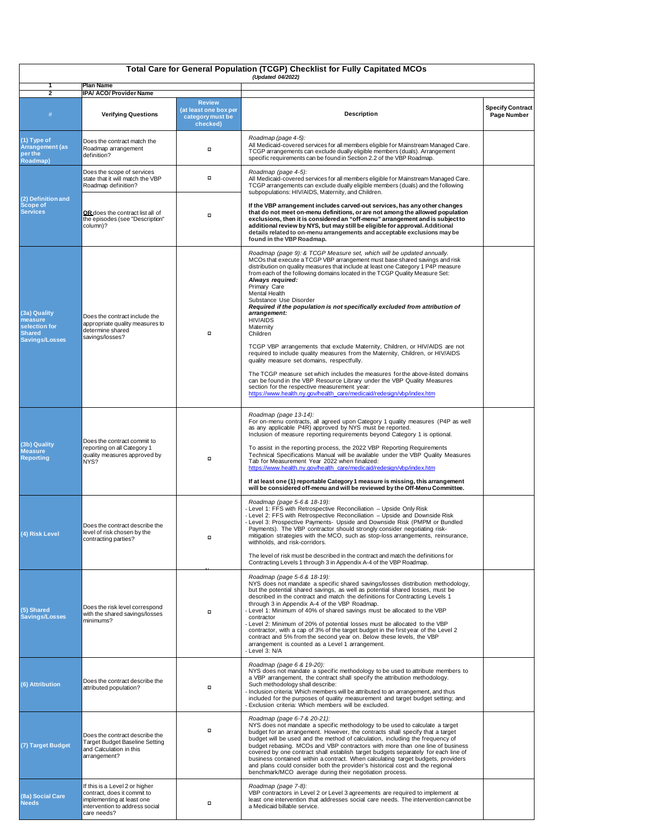| <b>Total Care for General Population (TCGP) Checklist for Fully Capitated MCOs</b><br>(Updated 04/2022) |                                                                                                                                             |                                                                        |                                                                                                                                                                                                                                                                                                                                                                                                                                                                                                                                                                                                                                                                                                                                                                                                                                                                                                                                                                                                                                                              |                                               |  |  |  |
|---------------------------------------------------------------------------------------------------------|---------------------------------------------------------------------------------------------------------------------------------------------|------------------------------------------------------------------------|--------------------------------------------------------------------------------------------------------------------------------------------------------------------------------------------------------------------------------------------------------------------------------------------------------------------------------------------------------------------------------------------------------------------------------------------------------------------------------------------------------------------------------------------------------------------------------------------------------------------------------------------------------------------------------------------------------------------------------------------------------------------------------------------------------------------------------------------------------------------------------------------------------------------------------------------------------------------------------------------------------------------------------------------------------------|-----------------------------------------------|--|--|--|
| <b>Plan Name</b><br><b>IPA/ ACO/ Provider Name</b><br>$\overline{2}$                                    |                                                                                                                                             |                                                                        |                                                                                                                                                                                                                                                                                                                                                                                                                                                                                                                                                                                                                                                                                                                                                                                                                                                                                                                                                                                                                                                              |                                               |  |  |  |
| #                                                                                                       | <b>Verifying Questions</b>                                                                                                                  | <b>Review</b><br>(at least one box per<br>category must be<br>checked) | <b>Description</b>                                                                                                                                                                                                                                                                                                                                                                                                                                                                                                                                                                                                                                                                                                                                                                                                                                                                                                                                                                                                                                           | <b>Specify Contract</b><br><b>Page Number</b> |  |  |  |
| (1) Type of<br><b>Arrangement (as</b><br>per the<br><b>Roadmap)</b>                                     | Does the contract match the<br>Roadmap arrangement<br>definition?                                                                           | $\Box$                                                                 | Roadmap (page 4-5):<br>All Medicaid-covered services for all members eligible for Mainstream Managed Care.<br>TCGP arrangements can exclude dually eligible members (duals). Arrangement<br>specific requirements can be found in Section 2.2 of the VBP Roadmap.                                                                                                                                                                                                                                                                                                                                                                                                                                                                                                                                                                                                                                                                                                                                                                                            |                                               |  |  |  |
| (2) Definition and<br><b>Scope of</b><br><b>Services</b>                                                | Does the scope of services<br>state that it will match the VBP<br>Roadmap definition?                                                       | $\Box$                                                                 | Roadmap (page 4-5):<br>All Medicaid-covered services for all members eligible for Mainstream Managed Care.<br>TCGP arrangements can exclude dually eligible members (duals) and the following<br>subpopulations: HIV/AIDS, Maternity, and Children.                                                                                                                                                                                                                                                                                                                                                                                                                                                                                                                                                                                                                                                                                                                                                                                                          |                                               |  |  |  |
|                                                                                                         | OR does the contract list all of<br>the episodes (see "Description"<br>column)?                                                             | $\Box$                                                                 | If the VBP arrangement includes carved-out services, has any other changes<br>that do not meet on-menu definitions, or are not among the allowed population<br>exclusions, then it is considered an "off-menu" arrangement and is subject to<br>additional review by NYS, but may still be eligible for approval. Additional<br>details related to on-menu arrangements and acceptable exclusions may be<br>found in the VBP Roadmap.                                                                                                                                                                                                                                                                                                                                                                                                                                                                                                                                                                                                                        |                                               |  |  |  |
| (3a) Quality<br>measure<br>selection for<br><b>Shared</b><br><b>Savings/Losses</b>                      | Does the contract include the<br>appropriate quality measures to<br>determine shared<br>savings/losses?                                     | $\Box$                                                                 | Roadmap (page 9): & TCGP Measure set, which will be updated annually.<br>MCOs that execute a TCGP VBP arrangement must base shared savings and risk<br>distribution on quality measures that include at least one Category 1 P4P measure<br>from each of the following domains located in the TCGP Quality Measure Set:<br>Always required:<br>Primary Care<br><b>Mental Health</b><br>Substance Use Disorder<br>Required if the population is not specifically excluded from attribution of<br>arrangement:<br><b>HIV/AIDS</b><br>Maternity<br>Children<br>TCGP VBP arrangements that exclude Maternity, Children, or HIV/AIDS are not<br>required to include quality measures from the Maternity, Children, or HIV/AIDS<br>quality measure set domains, respectfully.<br>The TCGP measure set which includes the measures for the above-listed domains<br>can be found in the VBP Resource Library under the VBP Quality Measures<br>section for the respective measurement year:<br>https://www.health.ny.gov/health_care/medicaid/redesign/vbp/index.htm |                                               |  |  |  |
| (3b) Quality<br><b>Measure</b><br><b>Reporting</b>                                                      | Does the contract commit to<br>reporting on all Category 1<br>quality measures approved by<br>NYS?                                          | $\Box$                                                                 | Roadmap (page 13-14):<br>For on-menu contracts, all agreed upon Category 1 quality measures (P4P as well<br>as any applicable P4R) approved by NYS must be reported.<br>Inclusion of measure reporting requirements beyond Category 1 is optional.<br>To assist in the reporting process, the 2022 VBP Reporting Requirements<br>Technical Specifications Manual will be available under the VBP Quality Measures<br>Tab for Measurement Year 2022 when finalized:<br>https://www.health.ny.gov/health_care/medicaid/redesign/vbp/index.htm<br>If at least one (1) reportable Category 1 measure is missing, this arrangement<br>will be considered off-menu and will be reviewed by the Off-Menu Committee.                                                                                                                                                                                                                                                                                                                                                 |                                               |  |  |  |
| (4) Risk Level                                                                                          | Does the contract describe the<br>level of risk chosen by the<br>contracting parties?                                                       | □                                                                      | Roadmap (page 5-6 & 18-19):<br>- Level 1: FFS with Retrospective Reconciliation - Upside Only Risk<br>- Level 2: FFS with Retrospective Reconciliation - Upside and Downside Risk<br>- Level 3: Prospective Payments- Upside and Downside Risk (PMPM or Bundled<br>Payments). The VBP contractor should strongly consider negotiating risk-<br>mitigation strategies with the MCO, such as stop-loss arrangements, reinsurance,<br>withholds, and risk-corridors.<br>The level of risk must be described in the contract and match the definitions for                                                                                                                                                                                                                                                                                                                                                                                                                                                                                                       |                                               |  |  |  |
| $\overline{(5)}$ Shared<br><b>Savings/Losses</b>                                                        | Does the risk level correspond<br>with the shared savings/losses<br>minimums?                                                               | $\Box$                                                                 | Contracting Levels 1 through 3 in Appendix A-4 of the VBP Roadmap.<br>Roadmap (page 5-6 & 18-19):<br>NYS does not mandate a specific shared savings/losses distribution methodology,<br>but the potential shared savings, as well as potential shared losses, must be<br>described in the contract and match the definitions for Contracting Levels 1<br>through 3 in Appendix A-4 of the VBP Roadmap.<br>- Level 1: Minimum of 40% of shared savings must be allocated to the VBP<br>contractor<br>- Level 2: Minimum of 20% of potential losses must be allocated to the VBP<br>contractor, with a cap of 3% of the target budget in the first year of the Level 2<br>contract and 5% from the second year on. Below these levels, the VBP<br>arrangement is counted as a Level 1 arrangement.<br>- Level 3: N/A                                                                                                                                                                                                                                           |                                               |  |  |  |
| (6) Attribution                                                                                         | Does the contract describe the<br>attributed population?                                                                                    | о                                                                      | Roadmap (page 6 & 19-20):<br>NYS does not mandate a specific methodology to be used to attribute members to<br>a VBP arrangement, the contract shall specify the attribution methodology.<br>Such methodology shall describe:<br>- Inclusion criteria: Which members will be attributed to an arrangement, and thus<br>included for the purposes of quality measurement and target budget setting; and<br>- Exclusion criteria: Which members will be excluded.                                                                                                                                                                                                                                                                                                                                                                                                                                                                                                                                                                                              |                                               |  |  |  |
| (7) Target Budget                                                                                       | Does the contract describe the<br><b>Target Budget Baseline Setting</b><br>and Calculation in this<br>arrangement?                          | $\Box$                                                                 | Roadmap (page 6-7 & 20-21):<br>NYS does not mandate a specific methodology to be used to calculate a target<br>budget for an arrangement. However, the contracts shall specify that a target<br>budget will be used and the method of calculation, including the frequency of<br>budget rebasing. MCOs and VBP contractors with more than one line of business<br>covered by one contract shall establish target budgets separately for each line of<br>business contained within a contract. When calculating target budgets, providers<br>and plans could consider both the provider's historical cost and the regional<br>benchmark/MCO average during their negotiation process.                                                                                                                                                                                                                                                                                                                                                                         |                                               |  |  |  |
| (8a) Social Care<br><b>Needs</b>                                                                        | If this is a Level 2 or higher<br>contract, does it commit to<br>implementing at least one<br>intervention to address social<br>care needs? | $\Box$                                                                 | Roadmap (page 7-8):<br>VBP contractors in Level 2 or Level 3 agreements are required to implement at<br>least one intervention that addresses social care needs. The intervention cannot be<br>a Medicaid billable service.                                                                                                                                                                                                                                                                                                                                                                                                                                                                                                                                                                                                                                                                                                                                                                                                                                  |                                               |  |  |  |